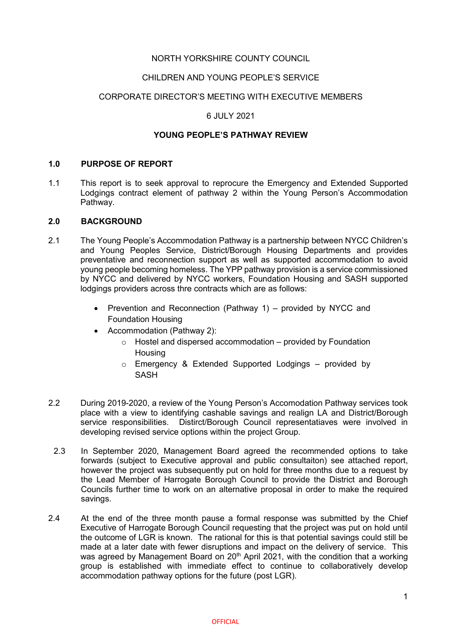## NORTH YORKSHIRE COUNTY COUNCIL

#### CHILDREN AND YOUNG PEOPLE'S SERVICE

### CORPORATE DIRECTOR'S MEETING WITH EXECUTIVE MEMBERS

#### 6 JULY 2021

#### **YOUNG PEOPLE'S PATHWAY REVIEW**

#### **1.0 PURPOSE OF REPORT**

1.1 This report is to seek approval to reprocure the Emergency and Extended Supported Lodgings contract element of pathway 2 within the Young Person's Accommodation Pathway.

#### **2.0 BACKGROUND**

- 2.1 The Young People's Accommodation Pathway is a partnership between NYCC Children's and Young Peoples Service, District/Borough Housing Departments and provides preventative and reconnection support as well as supported accommodation to avoid young people becoming homeless. The YPP pathway provision is a service commissioned by NYCC and delivered by NYCC workers, Foundation Housing and SASH supported lodgings providers across thre contracts which are as follows:
	- Prevention and Reconnection (Pathway 1) provided by NYCC and Foundation Housing
	- Accommodation (Pathway 2):
		- $\circ$  Hostel and dispersed accommodation provided by Foundation **Housing**
		- o Emergency & Extended Supported Lodgings provided by **SASH**
- 2.2 During 2019-2020, a review of the Young Person's Accomodation Pathway services took place with a view to identifying cashable savings and realign LA and District/Borough service responsibilities. Distirct/Borough Council representatiaves were involved in developing revised service options within the project Group.
- 2.3 In September 2020, Management Board agreed the recommended options to take forwards (subject to Executive approval and public consultaiton) see attached report, however the project was subsequently put on hold for three months due to a request by the Lead Member of Harrogate Borough Council to provide the District and Borough Councils further time to work on an alternative proposal in order to make the required savings.
- 2.4 At the end of the three month pause a formal response was submitted by the Chief Executive of Harrogate Borough Council requesting that the project was put on hold until the outcome of LGR is known. The rational for this is that potential savings could still be made at a later date with fewer disruptions and impact on the delivery of service. This was agreed by Management Board on 20<sup>th</sup> April 2021, with the condition that a working group is established with immediate effect to continue to collaboratively develop accommodation pathway options for the future (post LGR).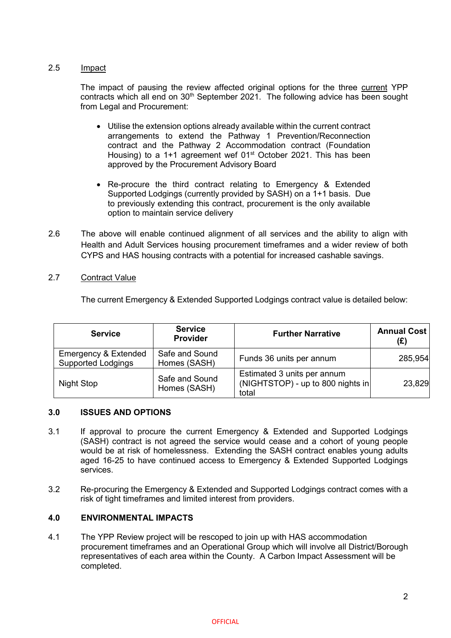## 2.5 Impact

The impact of pausing the review affected original options for the three current YPP contracts which all end on  $30<sup>th</sup>$  September 2021. The following advice has been sought from Legal and Procurement:

- Utilise the extension options already available within the current contract arrangements to extend the Pathway 1 Prevention/Reconnection contract and the Pathway 2 Accommodation contract (Foundation Housing) to a 1+1 agreement wef 01<sup>st</sup> October 2021. This has been approved by the Procurement Advisory Board
- Re-procure the third contract relating to Emergency & Extended Supported Lodgings (currently provided by SASH) on a 1+1 basis. Due to previously extending this contract, procurement is the only available option to maintain service delivery
- 2.6 The above will enable continued alignment of all services and the ability to align with Health and Adult Services housing procurement timeframes and a wider review of both CYPS and HAS housing contracts with a potential for increased cashable savings.

## 2.7 Contract Value

The current Emergency & Extended Supported Lodgings contract value is detailed below:

| <b>Service</b>                                               | <b>Service</b><br><b>Provider</b> | <b>Further Narrative</b>                                                  | <b>Annual Cost</b><br>(£) |
|--------------------------------------------------------------|-----------------------------------|---------------------------------------------------------------------------|---------------------------|
| <b>Emergency &amp; Extended</b><br><b>Supported Lodgings</b> | Safe and Sound<br>Homes (SASH)    | Funds 36 units per annum                                                  | 285,954                   |
| Night Stop                                                   | Safe and Sound<br>Homes (SASH)    | Estimated 3 units per annum<br>(NIGHTSTOP) - up to 800 nights in<br>total | 23,829                    |

### **3.0 ISSUES AND OPTIONS**

- 3.1 If approval to procure the current Emergency & Extended and Supported Lodgings (SASH) contract is not agreed the service would cease and a cohort of young people would be at risk of homelessness. Extending the SASH contract enables young adults aged 16-25 to have continued access to Emergency & Extended Supported Lodgings services.
- 3.2 Re-procuring the Emergency & Extended and Supported Lodgings contract comes with a risk of tight timeframes and limited interest from providers.

# **4.0 ENVIRONMENTAL IMPACTS**

4.1 The YPP Review project will be rescoped to join up with HAS accommodation procurement timeframes and an Operational Group which will involve all District/Borough representatives of each area within the County. A Carbon Impact Assessment will be completed.